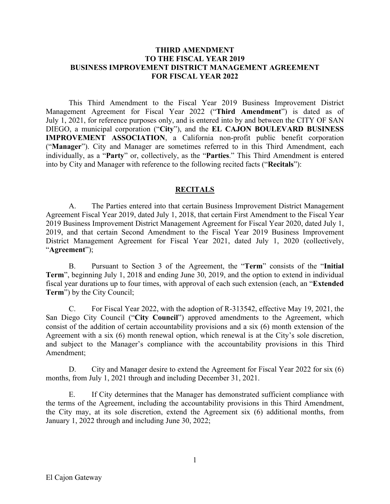#### **THIRD AMENDMENT TO THE FISCAL YEAR 2019 BUSINESS IMPROVEMENT DISTRICT MANAGEMENT AGREEMENT FOR FISCAL YEAR 2022**

This Third Amendment to the Fiscal Year 2019 Business Improvement District Management Agreement for Fiscal Year 2022 ("**Third Amendment**") is dated as of July 1, 2021, for reference purposes only, and is entered into by and between the CITY OF SAN DIEGO, a municipal corporation ("**City**"), and the **EL CAJON BOULEVARD BUSINESS IMPROVEMENT ASSOCIATION**, a California non-profit public benefit corporation ("**Manager**"). City and Manager are sometimes referred to in this Third Amendment, each individually, as a "**Party**" or, collectively, as the "**Parties**." This Third Amendment is entered into by City and Manager with reference to the following recited facts ("**Recitals**"):

#### **RECITALS**

A. The Parties entered into that certain Business Improvement District Management Agreement Fiscal Year 2019, dated July 1, 2018, that certain First Amendment to the Fiscal Year 2019 Business Improvement District Management Agreement for Fiscal Year 2020, dated July 1, 2019, and that certain Second Amendment to the Fiscal Year 2019 Business Improvement District Management Agreement for Fiscal Year 2021, dated July 1, 2020 (collectively, "**Agreement**");

B. Pursuant to Section 3 of the Agreement, the "**Term**" consists of the "**Initial Term**", beginning July 1, 2018 and ending June 30, 2019, and the option to extend in individual fiscal year durations up to four times, with approval of each such extension (each, an "**Extended Term**") by the City Council;

C. For Fiscal Year 2022, with the adoption of R-313542, effective May 19, 2021, the San Diego City Council ("**City Council**") approved amendments to the Agreement, which consist of the addition of certain accountability provisions and a six (6) month extension of the Agreement with a six (6) month renewal option, which renewal is at the City's sole discretion, and subject to the Manager's compliance with the accountability provisions in this Third Amendment;

D. City and Manager desire to extend the Agreement for Fiscal Year 2022 for six (6) months, from July 1, 2021 through and including December 31, 2021.

E. If City determines that the Manager has demonstrated sufficient compliance with the terms of the Agreement, including the accountability provisions in this Third Amendment, the City may, at its sole discretion, extend the Agreement six (6) additional months, from January 1, 2022 through and including June 30, 2022;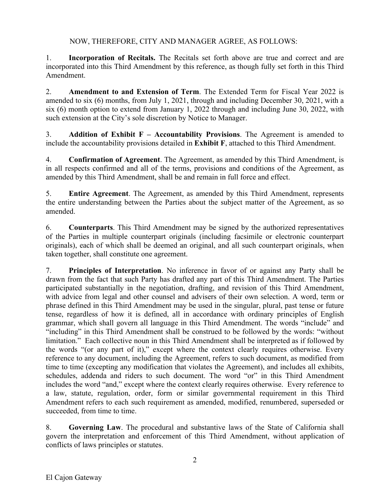NOW, THEREFORE, CITY AND MANAGER AGREE, AS FOLLOWS:

1. **Incorporation of Recitals.** The Recitals set forth above are true and correct and are incorporated into this Third Amendment by this reference, as though fully set forth in this Third Amendment.

2. **Amendment to and Extension of Term**. The Extended Term for Fiscal Year 2022 is amended to six (6) months, from July 1, 2021, through and including December 30, 2021, with a six (6) month option to extend from January 1, 2022 through and including June 30, 2022, with such extension at the City's sole discretion by Notice to Manager.

3. **Addition of Exhibit F – Accountability Provisions**. The Agreement is amended to include the accountability provisions detailed in **Exhibit F**, attached to this Third Amendment.

4. **Confirmation of Agreement**. The Agreement, as amended by this Third Amendment, is in all respects confirmed and all of the terms, provisions and conditions of the Agreement, as amended by this Third Amendment, shall be and remain in full force and effect.

5. **Entire Agreement**. The Agreement, as amended by this Third Amendment, represents the entire understanding between the Parties about the subject matter of the Agreement, as so amended.

6. **Counterparts**. This Third Amendment may be signed by the authorized representatives of the Parties in multiple counterpart originals (including facsimile or electronic counterpart originals), each of which shall be deemed an original, and all such counterpart originals, when taken together, shall constitute one agreement.

7. **Principles of Interpretation**. No inference in favor of or against any Party shall be drawn from the fact that such Party has drafted any part of this Third Amendment. The Parties participated substantially in the negotiation, drafting, and revision of this Third Amendment, with advice from legal and other counsel and advisers of their own selection. A word, term or phrase defined in this Third Amendment may be used in the singular, plural, past tense or future tense, regardless of how it is defined, all in accordance with ordinary principles of English grammar, which shall govern all language in this Third Amendment. The words "include" and "including" in this Third Amendment shall be construed to be followed by the words: "without limitation." Each collective noun in this Third Amendment shall be interpreted as if followed by the words "(or any part of it)," except where the context clearly requires otherwise. Every reference to any document, including the Agreement, refers to such document, as modified from time to time (excepting any modification that violates the Agreement), and includes all exhibits, schedules, addenda and riders to such document. The word "or" in this Third Amendment includes the word "and," except where the context clearly requires otherwise. Every reference to a law, statute, regulation, order, form or similar governmental requirement in this Third Amendment refers to each such requirement as amended, modified, renumbered, superseded or succeeded, from time to time.

8. **Governing Law**. The procedural and substantive laws of the State of California shall govern the interpretation and enforcement of this Third Amendment, without application of conflicts of laws principles or statutes.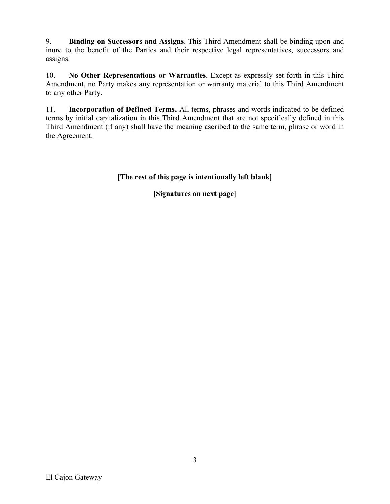9. **Binding on Successors and Assigns**. This Third Amendment shall be binding upon and inure to the benefit of the Parties and their respective legal representatives, successors and assigns.

10. **No Other Representations or Warranties**. Except as expressly set forth in this Third Amendment, no Party makes any representation or warranty material to this Third Amendment to any other Party.

11. **Incorporation of Defined Terms.** All terms, phrases and words indicated to be defined terms by initial capitalization in this Third Amendment that are not specifically defined in this Third Amendment (if any) shall have the meaning ascribed to the same term, phrase or word in the Agreement.

**[The rest of this page is intentionally left blank]**

**[Signatures on next page]**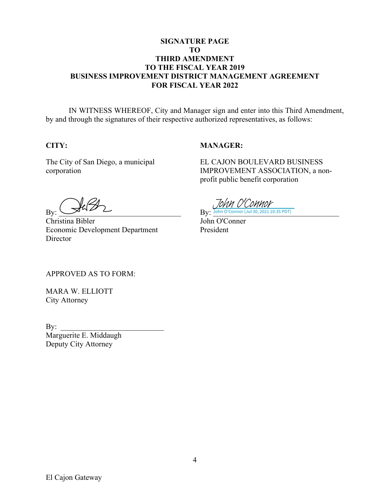## **SIGNATURE PAGE TO THIRD AMENDMENT TO THE FISCAL YEAR 2019 BUSINESS IMPROVEMENT DISTRICT MANAGEMENT AGREEMENT FOR FISCAL YEAR 2022**

IN WITNESS WHEREOF, City and Manager sign and enter into this Third Amendment, by and through the signatures of their respective authorized representatives, as follows:

## **CITY:**

#### **MANAGER:**

The City of San Diego, a municipal corporation

EL CAJON BOULEVARD BUSINESS IMPROVEMENT ASSOCIATION, a nonprofit public benefit corporation

 $\mathrm{By:}\xrightarrow{}\mathbb{R}\mathbb{R}$ 

Christina Bibler Economic Development Department Director

**By:** John O'Connor (Jul 30, 2021 10:35 PDT) John O'Connor

John O'Conner President

APPROVED AS TO FORM:

MARA W. ELLIOTT City Attorney

 $\mathbf{By:}$ 

Marguerite E. Middaugh Deputy City Attorney